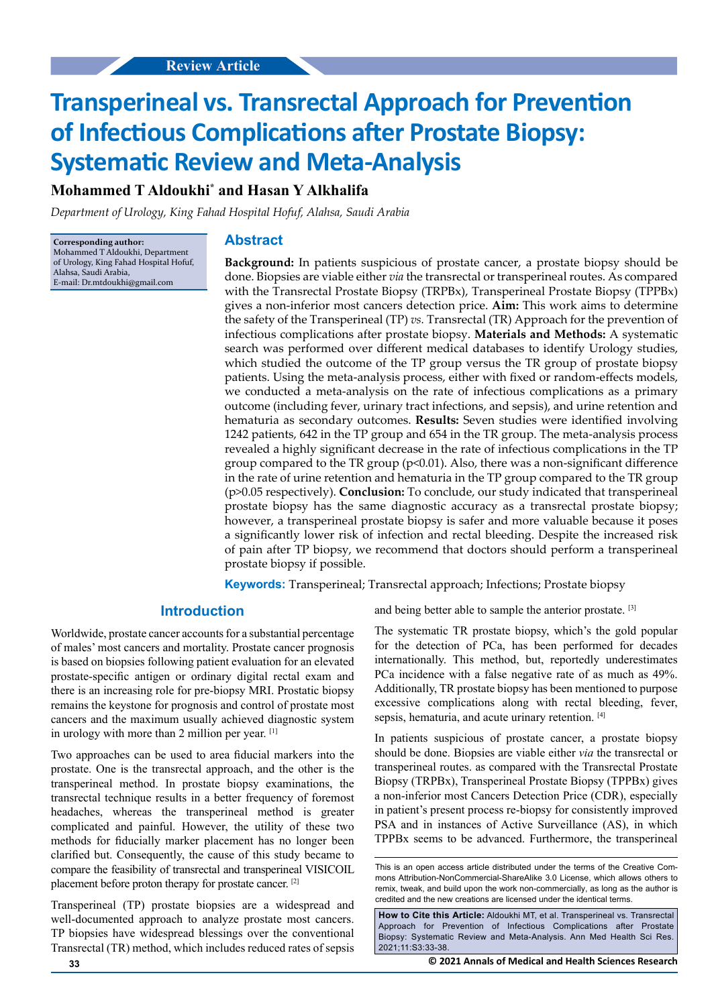# **Transperineal vs. Transrectal Approach for Prevention of Infectious Complications after Prostate Biopsy: Systematic Review and Meta-Analysis**

# **Mohammed T Aldoukhi\* and Hasan Y Alkhalifa**

*Department of Urology, King Fahad Hospital Hofuf, Alahsa, Saudi Arabia*

**Corresponding author:** Mohammed T Aldoukhi, Department of Urology, King Fahad Hospital Hofuf, Alahsa, Saudi Arabia, E-mail: Dr.mtdoukhi@gmail.com

#### **Abstract**

**Background:** In patients suspicious of prostate cancer, a prostate biopsy should be done. Biopsies are viable either *via* the transrectal or transperineal routes. As compared with the Transrectal Prostate Biopsy (TRPBx), Transperineal Prostate Biopsy (TPPBx) gives a non-inferior most cancers detection price. **Aim:** This work aims to determine the safety of the Transperineal (TP) *vs.* Transrectal (TR) Approach for the prevention of infectious complications after prostate biopsy. **Materials and Methods:** A systematic search was performed over different medical databases to identify Urology studies, which studied the outcome of the TP group versus the TR group of prostate biopsy patients. Using the meta-analysis process, either with fixed or random-effects models, we conducted a meta-analysis on the rate of infectious complications as a primary outcome (including fever, urinary tract infections, and sepsis), and urine retention and hematuria as secondary outcomes. **Results:** Seven studies were identified involving 1242 patients, 642 in the TP group and 654 in the TR group. The meta-analysis process revealed a highly significant decrease in the rate of infectious complications in the TP group compared to the TR group (p<0.01). Also, there was a non-significant difference in the rate of urine retention and hematuria in the TP group compared to the TR group (p>0.05 respectively). **Conclusion:** To conclude, our study indicated that transperineal prostate biopsy has the same diagnostic accuracy as a transrectal prostate biopsy; however, a transperineal prostate biopsy is safer and more valuable because it poses a significantly lower risk of infection and rectal bleeding. Despite the increased risk of pain after TP biopsy, we recommend that doctors should perform a transperineal prostate biopsy if possible.

**Keywords:** Transperineal; Transrectal approach; Infections; Prostate biopsy

# **Introduction**

Worldwide, prostate cancer accounts for a substantial percentage of males' most cancers and mortality. Prostate cancer prognosis is based on biopsies following patient evaluation for an elevated prostate-specific antigen or ordinary digital rectal exam and there is an increasing role for pre-biopsy MRI. Prostatic biopsy remains the keystone for prognosis and control of prostate most cancers and the maximum usually achieved diagnostic system in urology with more than 2 million per year. [1]

Two approaches can be used to area fiducial markers into the prostate. One is the transrectal approach, and the other is the transperineal method. In prostate biopsy examinations, the transrectal technique results in a better frequency of foremost headaches, whereas the transperineal method is greater complicated and painful. However, the utility of these two methods for fiducially marker placement has no longer been clarified but. Consequently, the cause of this study became to compare the feasibility of transrectal and transperineal VISICOIL placement before proton therapy for prostate cancer. [2]

Transperineal (TP) prostate biopsies are a widespread and well-documented approach to analyze prostate most cancers. TP biopsies have widespread blessings over the conventional Transrectal (TR) method, which includes reduced rates of sepsis

and being better able to sample the anterior prostate. [3]

The systematic TR prostate biopsy, which's the gold popular for the detection of PCa, has been performed for decades internationally. This method, but, reportedly underestimates PCa incidence with a false negative rate of as much as 49%. Additionally, TR prostate biopsy has been mentioned to purpose excessive complications along with rectal bleeding, fever, sepsis, hematuria, and acute urinary retention. [4]

In patients suspicious of prostate cancer, a prostate biopsy should be done. Biopsies are viable either *via* the transrectal or transperineal routes. as compared with the Transrectal Prostate Biopsy (TRPBx), Transperineal Prostate Biopsy (TPPBx) gives a non-inferior most Cancers Detection Price (CDR), especially in patient's present process re-biopsy for consistently improved PSA and in instances of Active Surveillance (AS), in which TPPBx seems to be advanced. Furthermore, the transperineal

**How to Cite this Article:** Aldoukhi MT, et al. Transperineal vs. Transrectal Approach for Prevention of Infectious Complications after Prostate Biopsy: Systematic Review and Meta-Analysis. Ann Med Health Sci Res. 2021;11:S3:33-38.

This is an open access article distributed under the terms of the Creative Commons Attribution‑NonCommercial‑ShareAlike 3.0 License, which allows others to remix, tweak, and build upon the work non‑commercially, as long as the author is credited and the new creations are licensed under the identical terms.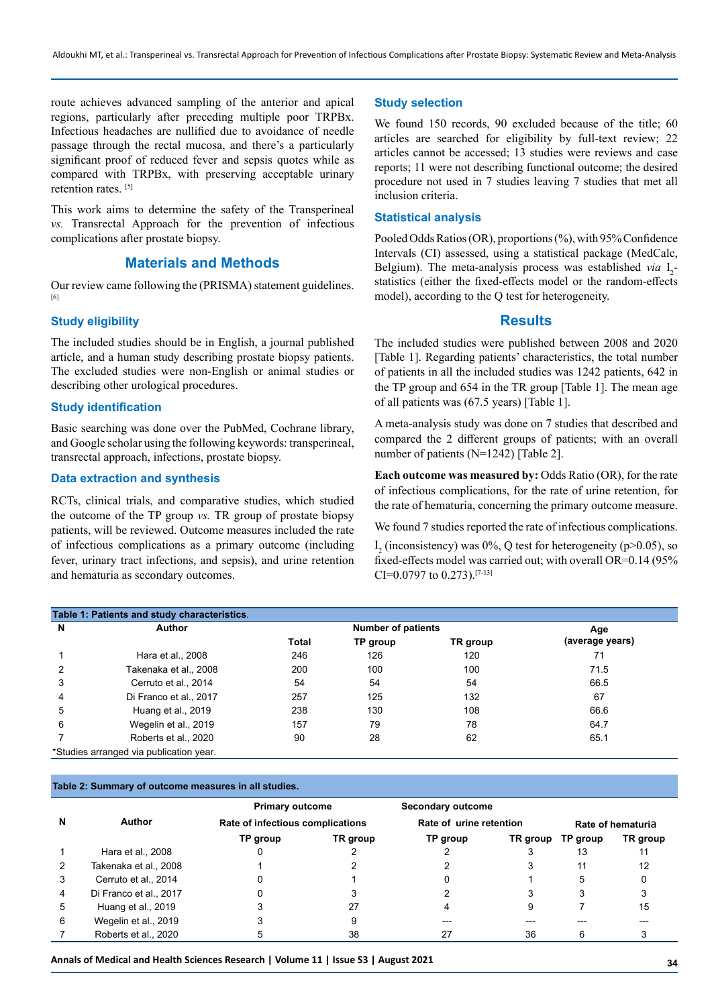route achieves advanced sampling of the anterior and apical regions, particularly after preceding multiple poor TRPBx. Infectious headaches are nullified due to avoidance of needle passage through the rectal mucosa, and there's a particularly significant proof of reduced fever and sepsis quotes while as compared with TRPBx, with preserving acceptable urinary retention rates.<sup>[5]</sup>

This work aims to determine the safety of the Transperineal *vs.* Transrectal Approach for the prevention of infectious complications after prostate biopsy.

# **Materials and Methods**

Our review came following the (PRISMA) statement guidelines. [6]

# **Study eligibility**

The included studies should be in English, a journal published article, and a human study describing prostate biopsy patients. The excluded studies were non-English or animal studies or describing other urological procedures.

#### **Study identification**

Basic searching was done over the PubMed, Cochrane library, and Google scholar using the following keywords: transperineal, transrectal approach, infections, prostate biopsy.

## **Data extraction and synthesis**

RCTs, clinical trials, and comparative studies, which studied the outcome of the TP group *vs.* TR group of prostate biopsy patients, will be reviewed. Outcome measures included the rate of infectious complications as a primary outcome (including fever, urinary tract infections, and sepsis), and urine retention and hematuria as secondary outcomes.

#### **Study selection**

We found 150 records, 90 excluded because of the title; 60 articles are searched for eligibility by full-text review; 22 articles cannot be accessed; 13 studies were reviews and case reports; 11 were not describing functional outcome; the desired procedure not used in 7 studies leaving 7 studies that met all inclusion criteria.

#### **Statistical analysis**

Pooled Odds Ratios (OR), proportions (%), with 95% Confidence Intervals (CI) assessed, using a statistical package (MedCalc, Belgium). The meta-analysis process was established *via*  $I_2$ statistics (either the fixed-effects model or the random-effects model), according to the Q test for heterogeneity.

#### **Results**

The included studies were published between 2008 and 2020 [Table 1]. Regarding patients' characteristics, the total number of patients in all the included studies was 1242 patients, 642 in the TP group and 654 in the TR group [Table 1]. The mean age of all patients was (67.5 years) [Table 1].

A meta-analysis study was done on 7 studies that described and compared the 2 different groups of patients; with an overall number of patients (N=1242) [Table 2].

**Each outcome was measured by:** Odds Ratio (OR), for the rate of infectious complications, for the rate of urine retention, for the rate of hematuria, concerning the primary outcome measure.

We found 7 studies reported the rate of infectious complications.  $I_2$  (inconsistency) was 0%, Q test for heterogeneity (p>0.05), so fixed-effects model was carried out; with overall OR=0.14 (95% CI=0.0797 to 0.273).[7-13]

| Table 1: Patients and study characteristics. |                                         |                           |          |          |                 |  |  |  |  |  |  |
|----------------------------------------------|-----------------------------------------|---------------------------|----------|----------|-----------------|--|--|--|--|--|--|
| N                                            | Author                                  | <b>Number of patients</b> |          |          | Age             |  |  |  |  |  |  |
|                                              |                                         | <b>Total</b>              | TP group | TR group | (average years) |  |  |  |  |  |  |
|                                              | Hara et al., 2008                       | 246                       | 126      | 120      | 71              |  |  |  |  |  |  |
|                                              | Takenaka et al., 2008                   | 200                       | 100      | 100      | 71.5            |  |  |  |  |  |  |
| 3                                            | Cerruto et al., 2014                    | 54                        | 54       | 54       | 66.5            |  |  |  |  |  |  |
| 4                                            | Di Franco et al., 2017                  | 257                       | 125      | 132      | 67              |  |  |  |  |  |  |
| 5                                            | Huang et al., 2019                      | 238                       | 130      | 108      | 66.6            |  |  |  |  |  |  |
| 6                                            | Wegelin et al., 2019                    | 157                       | 79       | 78       | 64.7            |  |  |  |  |  |  |
|                                              | Roberts et al., 2020                    | 90                        | 28       | 62       | 65.1            |  |  |  |  |  |  |
|                                              | *Studies arranged via publication year. |                           |          |          |                 |  |  |  |  |  |  |

#### **Table 2: Summary of outcome measures in all studies.**

|   |                        | <b>Primary outcome</b><br>Rate of infectious complications |          | Secondary outcome       |          |                   |          |
|---|------------------------|------------------------------------------------------------|----------|-------------------------|----------|-------------------|----------|
| N | Author                 |                                                            |          | Rate of urine retention |          | Rate of hematuria |          |
|   |                        | TP group                                                   | TR group | TP group                | TR group | TP group          | TR group |
|   | Hara et al., 2008      |                                                            |          |                         |          | 13                |          |
|   | Takenaka et al., 2008  |                                                            |          |                         |          | 11                | 12       |
| 3 | Cerruto et al., 2014   |                                                            |          |                         |          | 5                 |          |
| 4 | Di Franco et al., 2017 |                                                            |          |                         |          |                   |          |
| 5 | Huang et al., 2019     |                                                            | 27       |                         | 9        |                   | 15       |
| 6 | Wegelin et al., 2019   |                                                            |          |                         |          |                   |          |
|   | Roberts et al., 2020   |                                                            | 38       |                         | 36       |                   |          |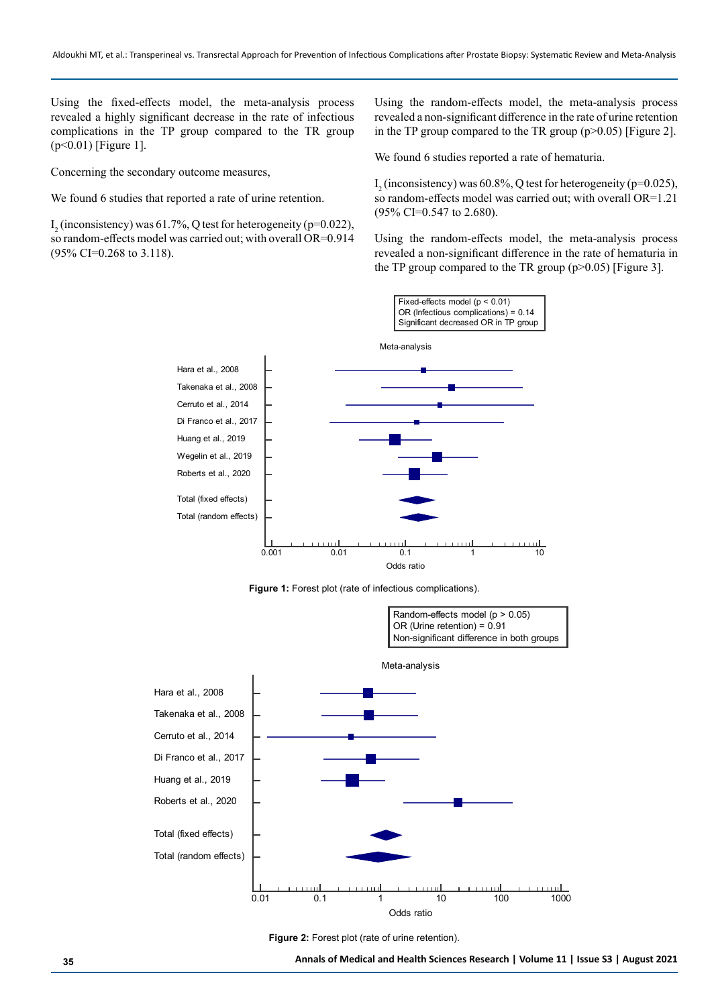Using the fixed-effects model, the meta-analysis process revealed a highly significant decrease in the rate of infectious complications in the TP group compared to the TR group (p<0.01) [Figure 1].

Concerning the secondary outcome measures,

We found 6 studies that reported a rate of urine retention.

 $I_2$  (inconsistency) was 61.7%, Q test for heterogeneity (p=0.022), so random-effects model was carried out; with overall OR=0.914 (95% CI=0.268 to 3.118).

Using the random-effects model, the meta-analysis process revealed a non-significant difference in the rate of urine retention in the TP group compared to the TR group  $(p>0.05)$  [Figure 2].

We found 6 studies reported a rate of hematuria.

 $I_2$  (inconsistency) was 60.8%, Q test for heterogeneity (p=0.025), so random-effects model was carried out; with overall OR=1.21 (95% CI=0.547 to 2.680).

Using the random-effects model, the meta-analysis process revealed a non-significant difference in the rate of hematuria in the TP group compared to the TR group  $(p>0.05)$  [Figure 3].



**Figure 1:** Forest plot (rate of infectious complications).



**Figure 2:** Forest plot (rate of urine retention).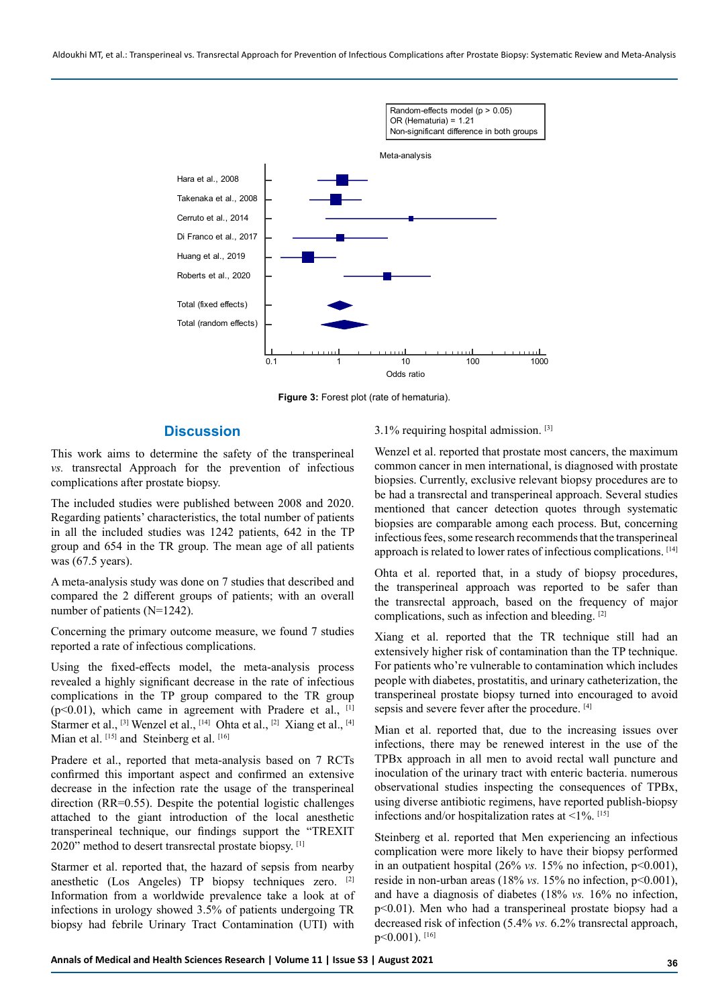Aldoukhi MT, et al.: Transperineal vs. Transrectal Approach for Prevention of Infectious Complications after Prostate Biopsy: Systematic Review and Meta-Analysis



**Figure 3:** Forest plot (rate of hematuria).

#### **Discussion**

This work aims to determine the safety of the transperineal *vs.* transrectal Approach for the prevention of infectious complications after prostate biopsy.

The included studies were published between 2008 and 2020. Regarding patients' characteristics, the total number of patients in all the included studies was 1242 patients, 642 in the TP group and 654 in the TR group. The mean age of all patients was (67.5 years).

A meta-analysis study was done on 7 studies that described and compared the 2 different groups of patients; with an overall number of patients (N=1242).

Concerning the primary outcome measure, we found 7 studies reported a rate of infectious complications.

Using the fixed-effects model, the meta-analysis process revealed a highly significant decrease in the rate of infectious complications in the TP group compared to the TR group ( $p$ <0.01), which came in agreement with Pradere et al.,  $[1]$ Starmer et al., [3] Wenzel et al., [14] Ohta et al., [2] Xiang et al., [4] Mian et al. [15] and Steinberg et al. [16]

Pradere et al., reported that meta-analysis based on 7 RCTs confirmed this important aspect and confirmed an extensive decrease in the infection rate the usage of the transperineal direction (RR=0.55). Despite the potential logistic challenges attached to the giant introduction of the local anesthetic transperineal technique, our findings support the "TREXIT 2020" method to desert transrectal prostate biopsy. [1]

Starmer et al. reported that, the hazard of sepsis from nearby anesthetic (Los Angeles) TP biopsy techniques zero. [2] Information from a worldwide prevalence take a look at of infections in urology showed 3.5% of patients undergoing TR biopsy had febrile Urinary Tract Contamination (UTI) with

#### 3.1% requiring hospital admission. [3]

Wenzel et al. reported that prostate most cancers, the maximum common cancer in men international, is diagnosed with prostate biopsies. Currently, exclusive relevant biopsy procedures are to be had a transrectal and transperineal approach. Several studies mentioned that cancer detection quotes through systematic biopsies are comparable among each process. But, concerning infectious fees, some research recommends that the transperineal approach is related to lower rates of infectious complications. [14]

Ohta et al. reported that, in a study of biopsy procedures, the transperineal approach was reported to be safer than the transrectal approach, based on the frequency of major complications, such as infection and bleeding. [2]

Xiang et al. reported that the TR technique still had an extensively higher risk of contamination than the TP technique. For patients who're vulnerable to contamination which includes people with diabetes, prostatitis, and urinary catheterization, the transperineal prostate biopsy turned into encouraged to avoid sepsis and severe fever after the procedure. [4]

Mian et al. reported that, due to the increasing issues over infections, there may be renewed interest in the use of the TPBx approach in all men to avoid rectal wall puncture and inoculation of the urinary tract with enteric bacteria. numerous observational studies inspecting the consequences of TPBx, using diverse antibiotic regimens, have reported publish-biopsy infections and/or hospitalization rates at  $\leq$ 1%. [15]

Steinberg et al. reported that Men experiencing an infectious complication were more likely to have their biopsy performed in an outpatient hospital (26% *vs.* 15% no infection, p<0.001), reside in non-urban areas (18% *vs.* 15% no infection, p<0.001), and have a diagnosis of diabetes (18% *vs.* 16% no infection, p<0.01). Men who had a transperineal prostate biopsy had a decreased risk of infection (5.4% *vs.* 6.2% transrectal approach, p<0.001). [16]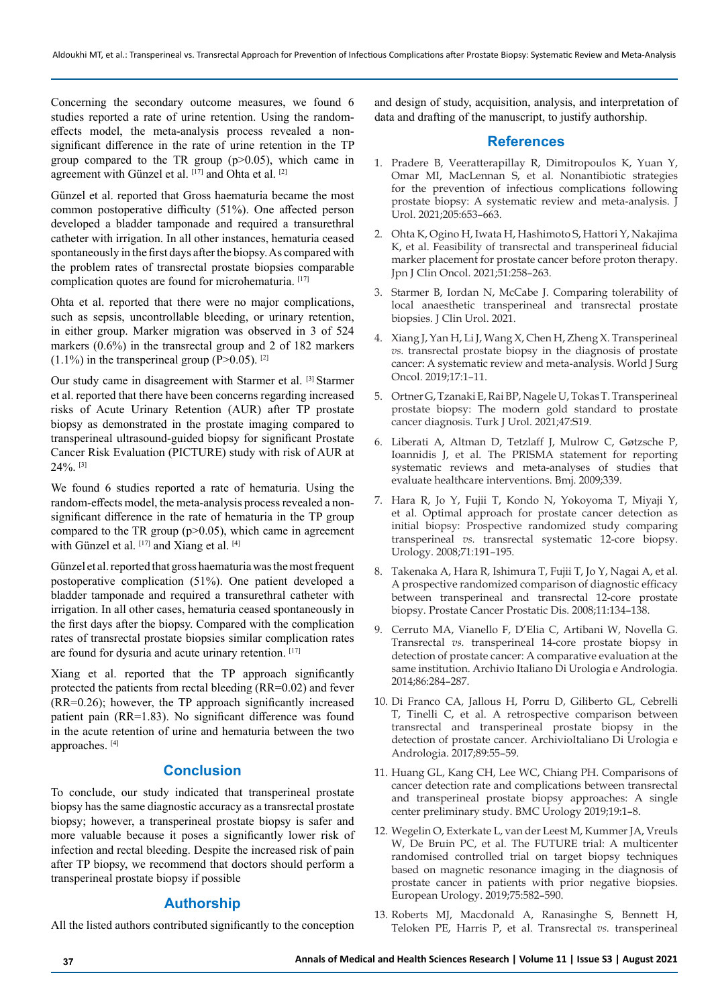Concerning the secondary outcome measures, we found 6 studies reported a rate of urine retention. Using the randomeffects model, the meta-analysis process revealed a nonsignificant difference in the rate of urine retention in the TP group compared to the TR group  $(p>0.05)$ , which came in agreement with Günzel et al. [17] and Ohta et al. [2]

Günzel et al. reported that Gross haematuria became the most common postoperative difficulty (51%). One affected person developed a bladder tamponade and required a transurethral catheter with irrigation. In all other instances, hematuria ceased spontaneously in the first days after the biopsy. As compared with the problem rates of transrectal prostate biopsies comparable complication quotes are found for microhematuria. [17]

Ohta et al. reported that there were no major complications, such as sepsis, uncontrollable bleeding, or urinary retention, in either group. Marker migration was observed in 3 of 524 markers (0.6%) in the transrectal group and 2 of 182 markers  $(1.1\%)$  in the transperineal group (P>0.05). <sup>[2]</sup>

Our study came in disagreement with Starmer et al. [3] Starmer et al. reported that there have been concerns regarding increased risks of Acute Urinary Retention (AUR) after TP prostate biopsy as demonstrated in the prostate imaging compared to transperineal ultrasound-guided biopsy for significant Prostate Cancer Risk Evaluation (PICTURE) study with risk of AUR at  $24\%$ <sup>[3]</sup>

We found 6 studies reported a rate of hematuria. Using the random-effects model, the meta-analysis process revealed a nonsignificant difference in the rate of hematuria in the TP group compared to the TR group  $(p>0.05)$ , which came in agreement with Günzel et al.  $[17]$  and Xiang et al.  $[4]$ 

Günzel et al. reported that gross haematuria was the most frequent postoperative complication (51%). One patient developed a bladder tamponade and required a transurethral catheter with irrigation. In all other cases, hematuria ceased spontaneously in the first days after the biopsy. Compared with the complication rates of transrectal prostate biopsies similar complication rates are found for dysuria and acute urinary retention. [17]

Xiang et al. reported that the TP approach significantly protected the patients from rectal bleeding (RR=0.02) and fever (RR=0.26); however, the TP approach significantly increased patient pain (RR=1.83). No significant difference was found in the acute retention of urine and hematuria between the two approaches. [4]

# **Conclusion**

To conclude, our study indicated that transperineal prostate biopsy has the same diagnostic accuracy as a transrectal prostate biopsy; however, a transperineal prostate biopsy is safer and more valuable because it poses a significantly lower risk of infection and rectal bleeding. Despite the increased risk of pain after TP biopsy, we recommend that doctors should perform a transperineal prostate biopsy if possible

# **Authorship**

All the listed authors contributed significantly to the conception

and design of study, acquisition, analysis, and interpretation of data and drafting of the manuscript, to justify authorship.

## **References**

- 1. Pradere B, Veeratterapillay R, Dimitropoulos K, Yuan Y, Omar MI, MacLennan S, et al. Nonantibiotic strategies for the prevention of infectious complications following prostate biopsy: A systematic review and meta-analysis. J Urol. 2021;205:653–663.
- 2. Ohta K, Ogino H, Iwata H, Hashimoto S, Hattori Y, Nakajima K, et al. Feasibility of transrectal and transperineal fiducial marker placement for prostate cancer before proton therapy. Jpn J Clin Oncol. 2021;51:258–263.
- 3. Starmer B, Iordan N, McCabe J. Comparing tolerability of local anaesthetic transperineal and transrectal prostate biopsies. J Clin Urol. 2021.
- 4. Xiang J, Yan H, Li J, Wang X, Chen H, Zheng X. Transperineal *vs.* transrectal prostate biopsy in the diagnosis of prostate cancer: A systematic review and meta-analysis. World J Surg Oncol. 2019;17:1–11.
- 5. Ortner G, Tzanaki E, Rai BP, Nagele U, Tokas T. Transperineal prostate biopsy: The modern gold standard to prostate cancer diagnosis. Turk J Urol. 2021;47:S19.
- 6. Liberati A, Altman D, Tetzlaff J, Mulrow C, Gøtzsche P, Ioannidis J, et al. The PRISMA statement for reporting systematic reviews and meta-analyses of studies that evaluate healthcare interventions. Bmj. 2009;339.
- 7. Hara R, Jo Y, Fujii T, Kondo N, Yokoyoma T, Miyaji Y, et al. Optimal approach for prostate cancer detection as initial biopsy: Prospective randomized study comparing transperineal *vs.* transrectal systematic 12-core biopsy. Urology. 2008;71:191–195.
- 8. Takenaka A, Hara R, Ishimura T, Fujii T, Jo Y, Nagai A, et al. A prospective randomized comparison of diagnostic efficacy between transperineal and transrectal 12-core prostate biopsy. Prostate Cancer Prostatic Dis. 2008;11:134–138.
- 9. Cerruto MA, Vianello F, D'Elia C, Artibani W, Novella G. Transrectal *vs.* transperineal 14-core prostate biopsy in detection of prostate cancer: A comparative evaluation at the same institution. Archivio Italiano Di Urologia e Andrologia. 2014;86:284–287.
- 10. Di Franco CA, Jallous H, Porru D, Giliberto GL, Cebrelli T, Tinelli C, et al. A retrospective comparison between transrectal and transperineal prostate biopsy in the detection of prostate cancer. ArchivioItaliano Di Urologia e Andrologia. 2017;89:55–59.
- 11. Huang GL, Kang CH, Lee WC, Chiang PH. Comparisons of cancer detection rate and complications between transrectal and transperineal prostate biopsy approaches: A single center preliminary study. BMC Urology 2019;19:1–8.
- 12. Wegelin O, Exterkate L, van der Leest M, Kummer JA, Vreuls W, De Bruin PC, et al. The FUTURE trial: A multicenter randomised controlled trial on target biopsy techniques based on magnetic resonance imaging in the diagnosis of prostate cancer in patients with prior negative biopsies. European Urology. 2019;75:582–590.
- 13. Roberts MJ, Macdonald A, Ranasinghe S, Bennett H, Teloken PE, Harris P, et al. Transrectal *vs.* transperineal